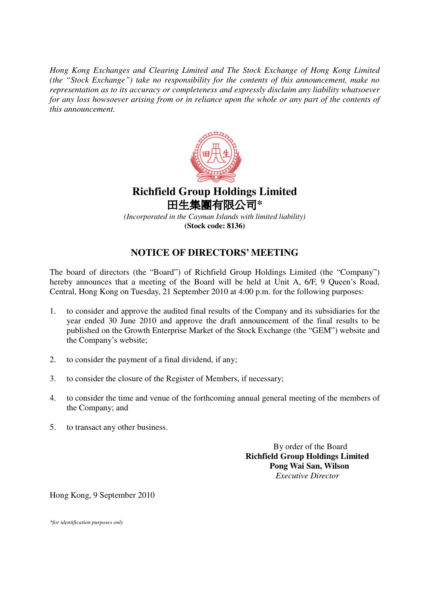*Hong Kong Exchanges and Clearing Limited and The Stock Exchange of Hong Kong Limited (the "Stock Exchange") take no responsibility for the contents of this announcement, make no representation as to its accuracy or completeness and expressly disclaim any liability whatsoever for any loss howsoever arising from or in reliance upon the whole or any part of the contents of this announcement.*



## **Richfield Group Holdings Limited**  田生集團有限公司**\***

*(Incorporated in the Cayman Islands with limited liability)*  **(Stock code: 8136)** 

## **NOTICE OF DIRECTORS' MEETING**

The board of directors (the "Board") of Richfield Group Holdings Limited (the "Company") hereby announces that a meeting of the Board will be held at Unit A, 6/F, 9 Queen's Road, Central, Hong Kong on Tuesday, 21 September 2010 at 4:00 p.m. for the following purposes:

- 1. to consider and approve the audited final results of the Company and its subsidiaries for the year ended 30 June 2010 and approve the draft announcement of the final results to be published on the Growth Enterprise Market of the Stock Exchange (the "GEM") website and the Company's website;
- 2. to consider the payment of a final dividend, if any;
- 3. to consider the closure of the Register of Members, if necessary;
- 4. to consider the time and venue of the forthcoming annual general meeting of the members of the Company; and
- 5. to transact any other business.

 By order of the Board **Richfield Group Holdings Limited Pong Wai San, Wilson**  *Executive Director* 

Hong Kong, 9 September 2010

*\*for identification purposes only*